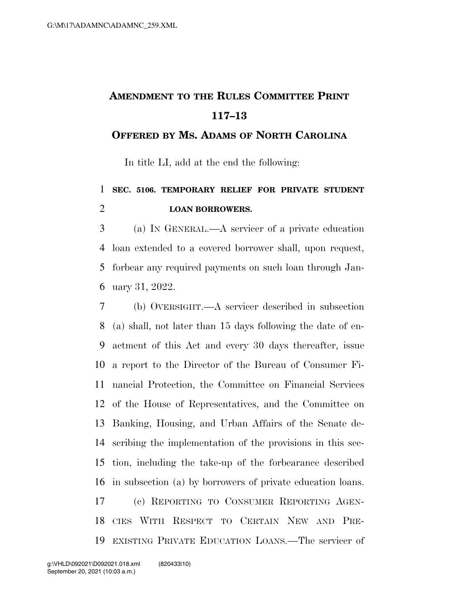## **AMENDMENT TO THE RULES COMMITTEE PRINT 117–13**

## **OFFERED BY MS. ADAMS OF NORTH CAROLINA**

In title LI, add at the end the following:

## **SEC. 5106. TEMPORARY RELIEF FOR PRIVATE STUDENT LOAN BORROWERS.**

 (a) IN GENERAL.—A servicer of a private education loan extended to a covered borrower shall, upon request, forbear any required payments on such loan through Jan-uary 31, 2022.

 (b) OVERSIGHT.—A servicer described in subsection (a) shall, not later than 15 days following the date of en- actment of this Act and every 30 days thereafter, issue a report to the Director of the Bureau of Consumer Fi- nancial Protection, the Committee on Financial Services of the House of Representatives, and the Committee on Banking, Housing, and Urban Affairs of the Senate de- scribing the implementation of the provisions in this sec- tion, including the take-up of the forbearance described in subsection (a) by borrowers of private education loans. (c) REPORTING TO CONSUMER REPORTING AGEN- CIES WITH RESPECT TO CERTAIN NEW AND PRE-EXISTING PRIVATE EDUCATION LOANS.—The servicer of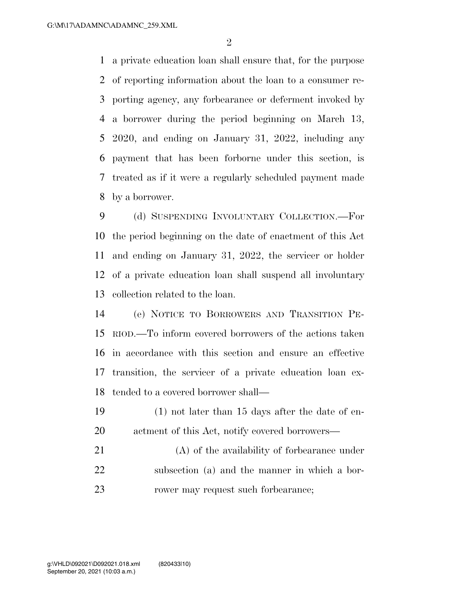a private education loan shall ensure that, for the purpose of reporting information about the loan to a consumer re- porting agency, any forbearance or deferment invoked by a borrower during the period beginning on March 13, 2020, and ending on January 31, 2022, including any payment that has been forborne under this section, is treated as if it were a regularly scheduled payment made by a borrower.

 (d) SUSPENDING INVOLUNTARY COLLECTION.—For the period beginning on the date of enactment of this Act and ending on January 31, 2022, the servicer or holder of a private education loan shall suspend all involuntary collection related to the loan.

 (e) NOTICE TO BORROWERS AND TRANSITION PE- RIOD.—To inform covered borrowers of the actions taken in accordance with this section and ensure an effective transition, the servicer of a private education loan ex-tended to a covered borrower shall—

- (1) not later than 15 days after the date of en-actment of this Act, notify covered borrowers—
- (A) of the availability of forbearance under subsection (a) and the manner in which a bor-23 rower may request such forbearance;